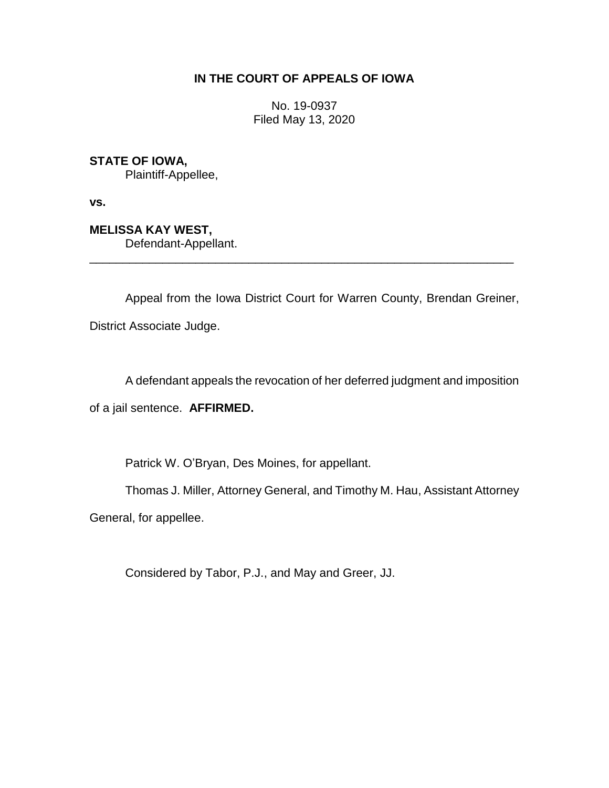## **IN THE COURT OF APPEALS OF IOWA**

No. 19-0937 Filed May 13, 2020

**STATE OF IOWA,**

Plaintiff-Appellee,

**vs.**

**MELISSA KAY WEST,**

Defendant-Appellant.

Appeal from the Iowa District Court for Warren County, Brendan Greiner, District Associate Judge.

\_\_\_\_\_\_\_\_\_\_\_\_\_\_\_\_\_\_\_\_\_\_\_\_\_\_\_\_\_\_\_\_\_\_\_\_\_\_\_\_\_\_\_\_\_\_\_\_\_\_\_\_\_\_\_\_\_\_\_\_\_\_\_\_

A defendant appeals the revocation of her deferred judgment and imposition

of a jail sentence. **AFFIRMED.**

Patrick W. O'Bryan, Des Moines, for appellant.

Thomas J. Miller, Attorney General, and Timothy M. Hau, Assistant Attorney

General, for appellee.

Considered by Tabor, P.J., and May and Greer, JJ.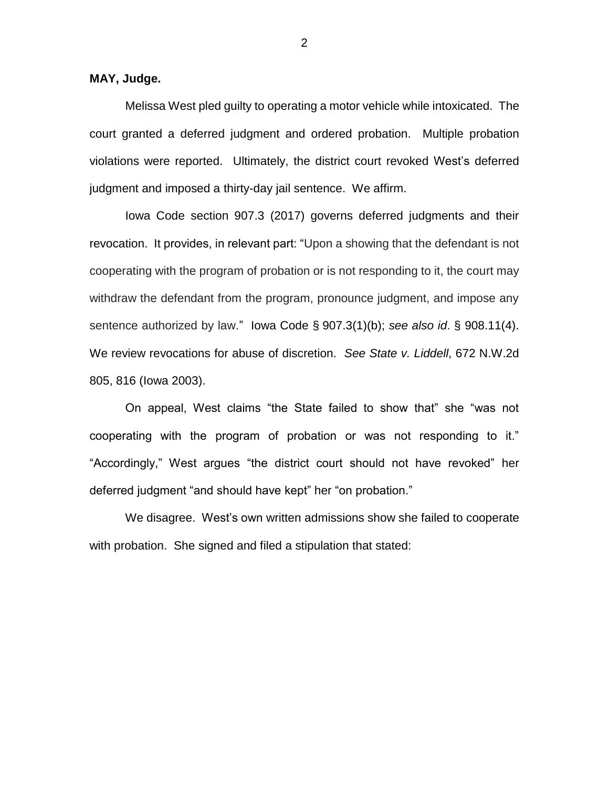**MAY, Judge.**

Melissa West pled guilty to operating a motor vehicle while intoxicated. The court granted a deferred judgment and ordered probation. Multiple probation violations were reported. Ultimately, the district court revoked West's deferred judgment and imposed a thirty-day jail sentence. We affirm.

Iowa Code section 907.3 (2017) governs deferred judgments and their revocation. It provides, in relevant part: "Upon a showing that the defendant is not cooperating with the program of probation or is not responding to it, the court may withdraw the defendant from the program, pronounce judgment, and impose any sentence authorized by law." Iowa Code § 907.3(1)(b); *see also id*. § 908.11(4). We review revocations for abuse of discretion. *See State v. Liddell*, 672 N.W.2d 805, 816 (Iowa 2003).

On appeal, West claims "the State failed to show that" she "was not cooperating with the program of probation or was not responding to it." "Accordingly," West argues "the district court should not have revoked" her deferred judgment "and should have kept" her "on probation."

We disagree. West's own written admissions show she failed to cooperate with probation. She signed and filed a stipulation that stated: